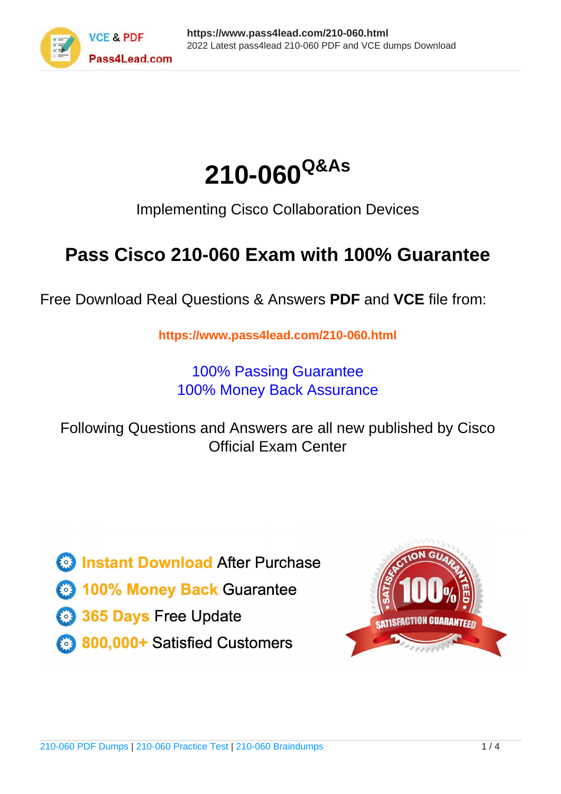



Implementing Cisco Collaboration Devices

# **Pass Cisco 210-060 Exam with 100% Guarantee**

Free Download Real Questions & Answers **PDF** and **VCE** file from:

**https://www.pass4lead.com/210-060.html**

100% Passing Guarantee 100% Money Back Assurance

Following Questions and Answers are all new published by Cisco Official Exam Center

**C** Instant Download After Purchase

**83 100% Money Back Guarantee** 

- 365 Days Free Update
- 800,000+ Satisfied Customers

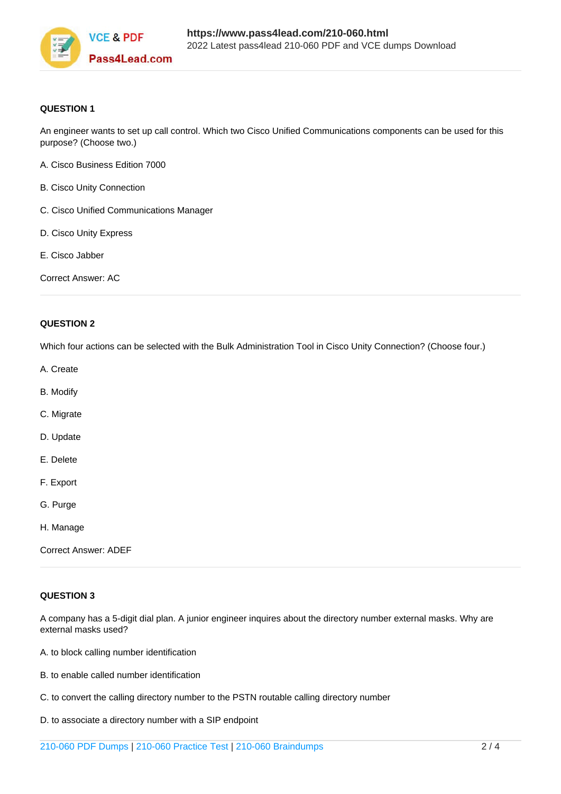

### **QUESTION 1**

An engineer wants to set up call control. Which two Cisco Unified Communications components can be used for this purpose? (Choose two.)

- A. Cisco Business Edition 7000
- B. Cisco Unity Connection
- C. Cisco Unified Communications Manager
- D. Cisco Unity Express
- E. Cisco Jabber

Correct Answer: AC

### **QUESTION 2**

Which four actions can be selected with the Bulk Administration Tool in Cisco Unity Connection? (Choose four.)

- A. Create
- B. Modify
- C. Migrate
- D. Update
- E. Delete
- F. Export
- G. Purge
- H. Manage

Correct Answer: ADEF

### **QUESTION 3**

A company has a 5-digit dial plan. A junior engineer inquires about the directory number external masks. Why are external masks used?

- A. to block calling number identification
- B. to enable called number identification
- C. to convert the calling directory number to the PSTN routable calling directory number
- D. to associate a directory number with a SIP endpoint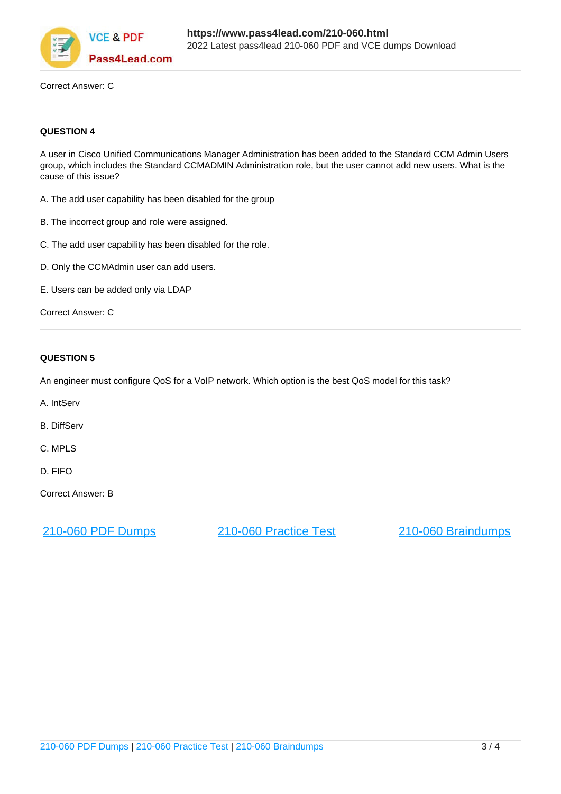

Correct Answer: C

### **QUESTION 4**

A user in Cisco Unified Communications Manager Administration has been added to the Standard CCM Admin Users group, which includes the Standard CCMADMIN Administration role, but the user cannot add new users. What is the cause of this issue?

- A. The add user capability has been disabled for the group
- B. The incorrect group and role were assigned.
- C. The add user capability has been disabled for the role.
- D. Only the CCMAdmin user can add users.
- E. Users can be added only via LDAP

Correct Answer: C

### **QUESTION 5**

An engineer must configure QoS for a VoIP network. Which option is the best QoS model for this task?

- A. IntServ
- B. DiffServ
- C. MPLS
- D. FIFO

Correct Answer: B

[210-060 PDF Dumps](https://www.pass4lead.com/210-060.html) [210-060 Practice Test](https://www.pass4lead.com/210-060.html) [210-060 Braindumps](https://www.pass4lead.com/210-060.html)